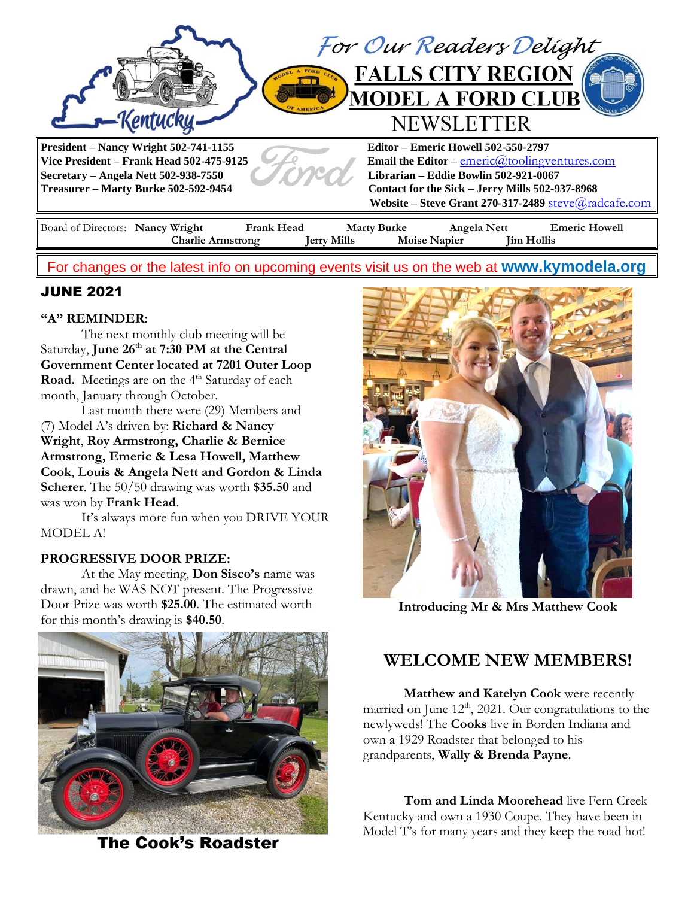

# For changes or the latest info on upcoming events visit us on the web at **[www.kymodela.org](http://www.kymodela.org/)**

# JUNE 2021

## **"A" REMINDER:**

The next monthly club meeting will be Saturday, **June 26th at 7:30 PM at the Central Government Center located at 7201 Outer Loop Road.** Meetings are on the 4<sup>th</sup> Saturday of each month, January through October.

Last month there were (29) Members and (7) Model A's driven by: **Richard & Nancy Wright**, **Roy Armstrong, Charlie & Bernice Armstrong, Emeric & Lesa Howell, Matthew Cook**, **Louis & Angela Nett and Gordon & Linda Scherer**. The 50/50 drawing was worth **\$35.50** and was won by **Frank Head**.

It's always more fun when you DRIVE YOUR MODEL A!

## **PROGRESSIVE DOOR PRIZE:**

At the May meeting, **Don Sisco's** name was drawn, and he WAS NOT present. The Progressive Door Prize was worth **\$25.00**. The estimated worth for this month's drawing is **\$40.50**.



**The Cook's Roadster** 



**Introducing Mr & Mrs Matthew Cook**

# **WELCOME NEW MEMBERS!**

**Matthew and Katelyn Cook** were recently married on June  $12<sup>th</sup>$ , 2021. Our congratulations to the newlyweds! The **Cooks** live in Borden Indiana and own a 1929 Roadster that belonged to his grandparents, **Wally & Brenda Payne**.

**Tom and Linda Moorehead** live Fern Creek Kentucky and own a 1930 Coupe. They have been in Model T's for many years and they keep the road hot!